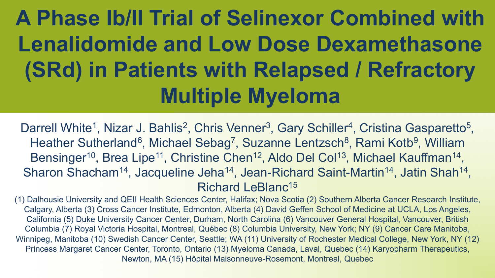# **A Phase Ib/II Trial of Selinexor Combined with Lenalidomide and Low Dose Dexamethasone (SRd) in Patients with Relapsed / Refractory Multiple Myeloma**

Darrell White<sup>1</sup>, Nizar J. Bahlis<sup>2</sup>, Chris Venner<sup>3</sup>, Gary Schiller<sup>4</sup>, Cristina Gasparetto<sup>5</sup>, Heather Sutherland<sup>6</sup>, Michael Sebag<sup>7</sup>, Suzanne Lentzsch<sup>8</sup>, Rami Kotb<sup>9</sup>, William Bensinger<sup>10</sup>, Brea Lipe<sup>11</sup>, Christine Chen<sup>12</sup>, Aldo Del Col<sup>13</sup>, Michael Kauffman<sup>14</sup>, Sharon Shacham<sup>14</sup>, Jacqueline Jeha<sup>14</sup>, Jean-Richard Saint-Martin<sup>14</sup>, Jatin Shah<sup>14</sup>, Richard LeBlanc15

(1) Dalhousie University and QEII Health Sciences Center, Halifax; Nova Scotia (2) Southern Alberta Cancer Research Institute, Calgary, Alberta (3) Cross Cancer Institute, Edmonton, Alberta (4) David Geffen School of Medicine at UCLA, Los Angeles, California (5) Duke University Cancer Center, Durham, North Carolina (6) Vancouver General Hospital, Vancouver, British Columbia (7) Royal Victoria Hospital, Montreal, Québec (8) Columbia University, New York; NY (9) Cancer Care Manitoba, Winnipeg, Manitoba (10) Swedish Cancer Center, Seattle; WA (11) University of Rochester Medical College, New York, NY (12) Princess Margaret Cancer Center, Toronto, Ontario (13) Myeloma Canada, Laval, Quebec (14) Karyopharm Therapeutics, Newton, MA (15) Hôpital Maisonneuve-Rosemont, Montreal, Quebec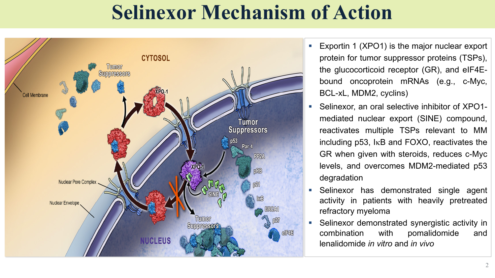### **Selinexor Mechanism of Action**



- Exportin 1 (XPO1) is the major nuclear export protein for tumor suppressor proteins (TSPs), the glucocorticoid receptor (GR), and eIF4Ebound oncoprotein mRNAs (e.g., c-Myc, BCL-xL, MDM2, cyclins)
- § Selinexor, an oral selective inhibitor of XPO1 mediated nuclear export (SINE) compound, reactivates multiple TSPs relevant to MM including p53, IkB and FOXO, reactivates the GR when given with steroids, reduces c-Myc levels, and overcomes MDM2-mediated p53 degradation
- Selinexor has demonstrated single agent activity in patients with heavily pretreated refractory myeloma
- § Selinexor demonstrated synergistic activity in combination with pomalidomide and lenalidomide *in vitro* and *in vivo*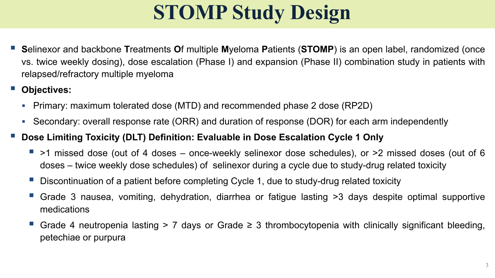# **STOMP Study Design**

- § **S**elinexor and backbone **T**reatments **O**f multiple **M**yeloma **P**atients (**STOMP**) is an open label, randomized (once vs. twice weekly dosing), dose escalation (Phase I) and expansion (Phase II) combination study in patients with relapsed/refractory multiple myeloma
- § **Objectives:**
	- Primary: maximum tolerated dose (MTD) and recommended phase 2 dose (RP2D)
	- Secondary: overall response rate (ORR) and duration of response (DOR) for each arm independently
- § **Dose Limiting Toxicity (DLT) Definition: Evaluable in Dose Escalation Cycle 1 Only**
	- § >1 missed dose (out of 4 doses once-weekly selinexor dose schedules), or >2 missed doses (out of 6 doses – twice weekly dose schedules) of selinexor during a cycle due to study-drug related toxicity
	- § Discontinuation of a patient before completing Cycle 1, due to study-drug related toxicity
	- Grade 3 nausea, vomiting, dehydration, diarrhea or fatigue lasting >3 days despite optimal supportive medications
	- Grade 4 neutropenia lasting  $> 7$  days or Grade  $\geq 3$  thrombocytopenia with clinically significant bleeding, petechiae or purpura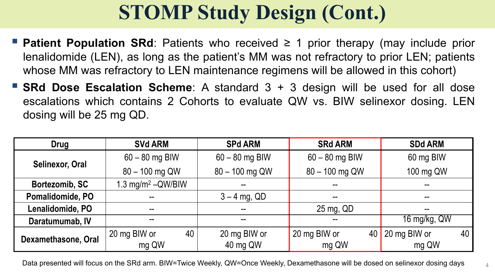## **STOMP Study Design (Cont.)**

- § **Patient Population SRd**: Patients who received ≥ 1 prior therapy (may include prior lenalidomide (LEN), as long as the patient's MM was not refractory to prior LEN; patients whose MM was refractory to LEN maintenance regimens will be allowed in this cohort)
- § **SRd Dose Escalation Scheme**: A standard 3 + 3 design will be used for all dose escalations which contains 2 Cohorts to evaluate QW vs. BIW selinexor dosing. LEN dosing will be 25 mg QD.

| Drug                   | <b>SVd ARM</b>                  | <b>SPd ARM</b>   | <b>SRd ARM</b>           | <b>SDd ARM</b>     |  |
|------------------------|---------------------------------|------------------|--------------------------|--------------------|--|
| <b>Selinexor, Oral</b> | $60 - 80$ mg BIW                | $60 - 80$ mg BIW | $60 - 80$ mg BIW         | 60 mg BIW          |  |
|                        | 80 - 100 mg QW                  | 80 - 100 mg QW   | 80 - 100 mg QW           | 100 mg QW          |  |
| Bortezomib, SC         | 1.3 mg/m <sup>2</sup> $-QW/BIW$ |                  | $\overline{\phantom{a}}$ |                    |  |
| Pomalidomide, PO       | --                              | $3 - 4$ mg, QD   | $\sim$ $\sim$            |                    |  |
| Lenalidomide, PO       | $\overline{\phantom{m}}$        | --               | 25 mg, QD                | $- -$              |  |
| Daratumumab, IV        | $- -$                           | --               | --                       | 16 mg/kg, QW       |  |
| Dexamethasone, Oral    | 40<br>20 mg BIW or              | 20 mg BIW or     | 20 mg BIW or<br>40       | 20 mg BIW or<br>40 |  |
|                        | mg QW                           | 40 mg QW         | mg QW                    | mg QW              |  |

Data presented will focus on the SRd arm. BIW=Twice Weekly, QW=Once Weekly, Dexamethasone will be dosed on selinexor dosing days  $4\mu$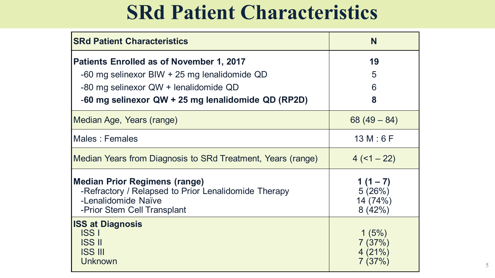#### **SRd Patient Characteristics**

| <b>SRd Patient Characteristics</b>                                                                                                                                                                | N                                           |  |  |
|---------------------------------------------------------------------------------------------------------------------------------------------------------------------------------------------------|---------------------------------------------|--|--|
| <b>Patients Enrolled as of November 1, 2017</b><br>$-60$ mg selinexor BIW $+25$ mg lenalidomide QD<br>-80 mg selinexor QW + lenalidomide QD<br>-60 mg selinexor QW + 25 mg lenalidomide QD (RP2D) | 19<br>5<br>6<br>8                           |  |  |
| Median Age, Years (range)                                                                                                                                                                         | $68(49-84)$                                 |  |  |
| Males : Females                                                                                                                                                                                   | 13 M : 6 F                                  |  |  |
| Median Years from Diagnosis to SRd Treatment, Years (range)                                                                                                                                       | $4(1-22)$                                   |  |  |
| <b>Median Prior Regimens (range)</b><br>-Refractory / Relapsed to Prior Lenalidomide Therapy<br>-Lenalidomide Naïve<br>-Prior Stem Cell Transplant                                                | 1 $(1 - 7)$<br>5(26%)<br>14 (74%)<br>8(42%) |  |  |
| <b>ISS at Diagnosis</b><br><b>ISS I</b><br><b>ISS II</b><br><b>ISS III</b><br><b>Unknown</b>                                                                                                      | 1(5%)<br>7(37%)<br>4(21%)<br>7(37%)         |  |  |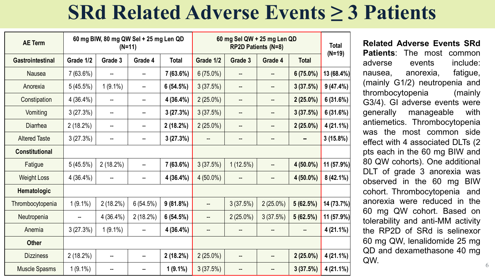### **SRd Related Adverse Events ≥ 3 Patients**

| <b>AE Term</b>          | 60 mg BIW, 80 mg QW Sel + 25 mg Len QD<br>$(N=11)$ |             |                          |              | 60 mg Sel QW + 25 mg Len QD<br>RP2D Patients (N=8) |             |             |              | <b>Total</b> |
|-------------------------|----------------------------------------------------|-------------|--------------------------|--------------|----------------------------------------------------|-------------|-------------|--------------|--------------|
| <b>Gastrointestinal</b> | Grade 1/2                                          | Grade 3     | Grade 4                  | <b>Total</b> | Grade 1/2                                          | Grade 3     | Grade 4     | <b>Total</b> | $(N=19)$     |
| <b>Nausea</b>           | 7(63.6%)                                           |             |                          | 7(63.6%)     | $6(75.0\%)$                                        |             |             | $6(75.0\%)$  | 13 (68.4%)   |
| Anorexia                | 5(45.5%)                                           | $1(9.1\%)$  | --                       | 6(54.5%)     | 3(37.5%)                                           | --          | ÷           | 3(37.5%)     | 9(47.4%)     |
| Constipation            | 4(36.4%)                                           | --          |                          | 4 (36.4%)    | $2(25.0\%)$                                        |             |             | $2(25.0\%)$  | 6(31.6%)     |
| Vomiting                | 3(27.3%)                                           | --          | --                       | 3(27.3%)     | 3(37.5%)                                           | --          | --          | 3(37.5%)     | 6(31.6%)     |
| Diarrhea                | 2(18.2%)                                           | --          | $\overline{\phantom{a}}$ | 2(18.2%)     | $2(25.0\%)$                                        |             | ÷           | $2(25.0\%)$  | $4(21.1\%)$  |
| <b>Altered Taste</b>    | 3(27.3%)                                           | --          | $\overline{\phantom{a}}$ | 3(27.3%)     |                                                    |             | $- -$       |              | 3(15.8%)     |
| <b>Constitutional</b>   |                                                    |             |                          |              |                                                    |             |             |              |              |
| Fatigue                 | 5(45.5%)                                           | 2(18.2%)    | $\overline{\phantom{a}}$ | 7(63.6%)     | 3(37.5%)                                           | 1(12.5%)    |             | $4(50.0\%)$  | 11 (57.9%)   |
| <b>Weight Loss</b>      | 4(36.4%)                                           |             |                          | 4(36.4%)     | $4(50.0\%)$                                        |             | --          | $4(50.0\%)$  | 8 (42.1%)    |
| Hematologic             |                                                    |             |                          |              |                                                    |             |             |              |              |
| Thrombocytopenia        | $1(9.1\%)$                                         | $2(18.2\%)$ | 6(54.5%)                 | 9(81.8%)     |                                                    | 3(37.5%)    | $2(25.0\%)$ | 5(62.5%)     | 14 (73.7%)   |
| Neutropenia             |                                                    | $4(36.4\%)$ | $2(18.2\%)$              | 6(54.5%)     | --                                                 | $2(25.0\%)$ | 3(37.5%)    | 5(62.5%)     | 11 (57.9%)   |
| Anemia                  | 3(27.3%)                                           | $1(9.1\%)$  |                          | 4(36.4%)     |                                                    |             |             |              | $4(21.1\%)$  |
| <b>Other</b>            |                                                    |             |                          |              |                                                    |             |             |              |              |
| <b>Dizziness</b>        | 2(18.2%)                                           | --          |                          | 2(18.2%)     | $2(25.0\%)$                                        |             |             | $2(25.0\%)$  | $4(21.1\%)$  |
| <b>Muscle Spasms</b>    | $1(9.1\%)$                                         | --          | --                       | $1(9.1\%)$   | 3(37.5%)                                           |             | ÷           | 3(37.5%)     | $4(21.1\%)$  |

6 **Related Adverse Events SRd Patients**: The most common adverse events include: nausea, anorexia, fatigue, (mainly G1/2) neutropenia and thrombocytopenia (mainly G3/4). GI adverse events were generally manageable with antiemetics. Thrombocytopenia was the most common side effect with 4 associated DLTs (2 pts each in the 60 mg BIW and 80 QW cohorts). One additional DLT of grade 3 anorexia was observed in the 60 mg BIW cohort. Thrombocytopenia and anorexia were reduced in the 60 mg QW cohort. Based on tolerability and anti-MM activity the RP2D of SRd is selinexor 60 mg QW, lenalidomide 25 mg QD and dexamethasone 40 mg QW.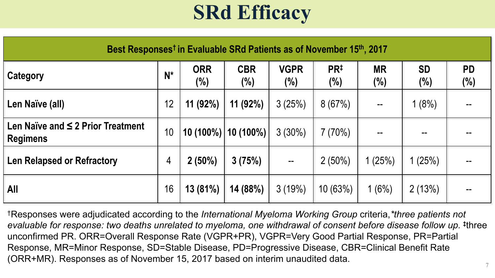## **SRd Efficacy**

| Best Responses <sup>†</sup> in Evaluable SRd Patients as of November 15 <sup>th</sup> , 2017 |       |                   |                   |                       |                            |                     |                      |                     |
|----------------------------------------------------------------------------------------------|-------|-------------------|-------------------|-----------------------|----------------------------|---------------------|----------------------|---------------------|
| Category                                                                                     | $N^*$ | <b>ORR</b><br>(%) | <b>CBR</b><br>(%) | <b>VGPR</b><br>$(\%)$ | PR <sup>#</sup><br>$(\% )$ | <b>MR</b><br>$(\%)$ | <b>SD</b><br>$(\% )$ | <b>PD</b><br>$(\%)$ |
| Len Naïve (all)                                                                              | 12    | $11(92\%)$        | 11(92%)           | 3(25%)                | 8(67%)                     | $\sim$ $\sim$       | 1(8%)                |                     |
| Len Naïve and $\leq$ 2 Prior Treatment<br><b>Regimens</b>                                    | 10    | $10(100\%)$       | 10 (100%)         | $3(30\%)$             | 7(70%)                     |                     |                      |                     |
| <b>Len Relapsed or Refractory</b>                                                            | 4     | $2(50\%)$         | 3(75%)            |                       | $2(50\%)$                  | (25%)               | 1(25%)               |                     |
| <b>All</b>                                                                                   | 16    | 13 (81%)          | 14 (88%)          | 3(19%)                | 10(63%)                    | 1(6%)               | 2(13%)               |                     |

†Responses were adjudicated according to the *International Myeloma Working Group* criteria,*\*three patients not evaluable for response: two deaths unrelated to myeloma, one withdrawal of consent before disease follow up.* **‡**three unconfirmed PR. ORR=Overall Response Rate (VGPR+PR), VGPR=Very Good Partial Response, PR=Partial Response, MR=Minor Response, SD=Stable Disease, PD=Progressive Disease, CBR=Clinical Benefit Rate (ORR+MR). Responses as of November 15, 2017 based on interim unaudited data.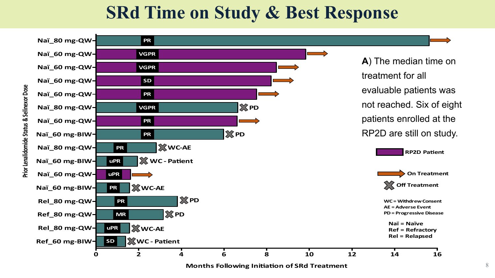#### **SRd Time on Study & Best Response**

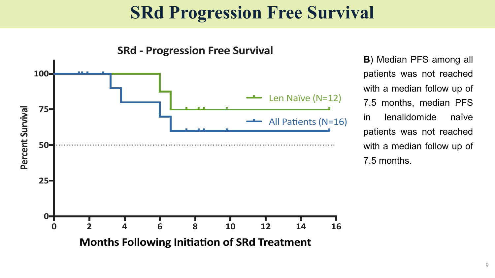#### **SRd Progression Free Survival**